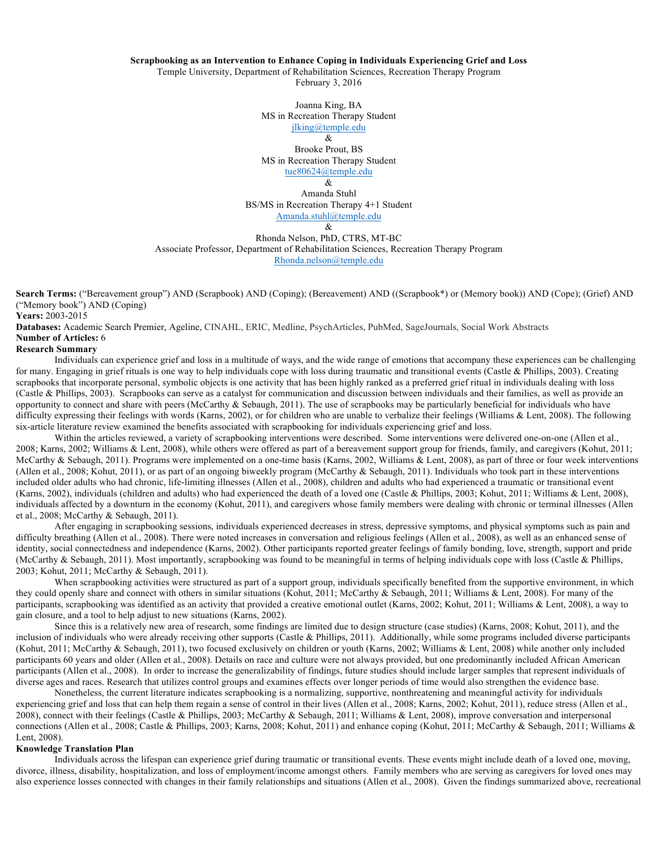## **Scrapbooking as an Intervention to Enhance Coping in Individuals Experiencing Grief and Loss**

Temple University, Department of Rehabilitation Sciences, Recreation Therapy Program

February 3, 2016

Joanna King, BA MS in Recreation Therapy Student jlking@temple.edu

> & Brooke Prout, BS

MS in Recreation Therapy Student tue80624@temple.edu

&

Amanda Stuhl BS/MS in Recreation Therapy 4+1 Student Amanda.stuhl@temple.edu &

Rhonda Nelson, PhD, CTRS, MT-BC Associate Professor, Department of Rehabilitation Sciences, Recreation Therapy Program Rhonda.nelson@temple.edu

**Search Terms:** ("Bereavement group") AND (Scrapbook) AND (Coping); (Bereavement) AND ((Scrapbook\*) or (Memory book)) AND (Cope); (Grief) AND ("Memory book") AND (Coping)

**Years:** 2003-2015

**Databases:** Academic Search Premier, Ageline, CINAHL, ERIC, Medline, PsychArticles, PubMed, SageJournals, Social Work Abstracts **Number of Articles:** 6

## **Research Summary**

Individuals can experience grief and loss in a multitude of ways, and the wide range of emotions that accompany these experiences can be challenging for many. Engaging in grief rituals is one way to help individuals cope with loss during traumatic and transitional events (Castle & Phillips, 2003). Creating scrapbooks that incorporate personal, symbolic objects is one activity that has been highly ranked as a preferred grief ritual in individuals dealing with loss (Castle & Phillips, 2003). Scrapbooks can serve as a catalyst for communication and discussion between individuals and their families, as well as provide an opportunity to connect and share with peers (McCarthy  $\&$  Sebaugh, 2011). The use of scrapbooks may be particularly beneficial for individuals who have difficulty expressing their feelings with words (Karns, 2002), or for children who are unable to verbalize their feelings (Williams & Lent, 2008). The following six-article literature review examined the benefits associated with scrapbooking for individuals experiencing grief and loss.

Within the articles reviewed, a variety of scrapbooking interventions were described. Some interventions were delivered one-on-one (Allen et al., 2008; Karns, 2002; Williams & Lent, 2008), while others were offered as part of a bereavement support group for friends, family, and caregivers (Kohut, 2011; McCarthy & Sebaugh, 2011). Programs were implemented on a one-time basis (Karns, 2002, Williams & Lent, 2008), as part of three or four week interventions (Allen et al., 2008; Kohut, 2011), or as part of an ongoing biweekly program (McCarthy & Sebaugh, 2011). Individuals who took part in these interventions included older adults who had chronic, life-limiting illnesses (Allen et al., 2008), children and adults who had experienced a traumatic or transitional event (Karns, 2002), individuals (children and adults) who had experienced the death of a loved one (Castle & Phillips, 2003; Kohut, 2011; Williams & Lent, 2008), individuals affected by a downturn in the economy (Kohut, 2011), and caregivers whose family members were dealing with chronic or terminal illnesses (Allen et al., 2008; McCarthy & Sebaugh, 2011).

After engaging in scrapbooking sessions, individuals experienced decreases in stress, depressive symptoms, and physical symptoms such as pain and difficulty breathing (Allen et al., 2008). There were noted increases in conversation and religious feelings (Allen et al., 2008), as well as an enhanced sense of identity, social connectedness and independence (Karns, 2002). Other participants reported greater feelings of family bonding, love, strength, support and pride (McCarthy & Sebaugh, 2011). Most importantly, scrapbooking was found to be meaningful in terms of helping individuals cope with loss (Castle & Phillips, 2003; Kohut, 2011; McCarthy & Sebaugh, 2011).

When scrapbooking activities were structured as part of a support group, individuals specifically benefited from the supportive environment, in which they could openly share and connect with others in similar situations (Kohut, 2011; McCarthy & Sebaugh, 2011; Williams & Lent, 2008). For many of the participants, scrapbooking was identified as an activity that provided a creative emotional outlet (Karns, 2002; Kohut, 2011; Williams & Lent, 2008), a way to gain closure, and a tool to help adjust to new situations (Karns, 2002).

Since this is a relatively new area of research, some findings are limited due to design structure (case studies) (Karns, 2008; Kohut, 2011), and the inclusion of individuals who were already receiving other supports (Castle & Phillips, 2011). Additionally, while some programs included diverse participants (Kohut, 2011; McCarthy & Sebaugh, 2011), two focused exclusively on children or youth (Karns, 2002; Williams & Lent, 2008) while another only included participants 60 years and older (Allen et al., 2008). Details on race and culture were not always provided, but one predominantly included African American participants (Allen et al., 2008). In order to increase the generalizability of findings, future studies should include larger samples that represent individuals of diverse ages and races. Research that utilizes control groups and examines effects over longer periods of time would also strengthen the evidence base.

Nonetheless, the current literature indicates scrapbooking is a normalizing, supportive, nonthreatening and meaningful activity for individuals experiencing grief and loss that can help them regain a sense of control in their lives (Allen et al., 2008; Karns, 2002; Kohut, 2011), reduce stress (Allen et al., 2008), connect with their feelings (Castle & Phillips, 2003; McCarthy & Sebaugh, 2011; Williams & Lent, 2008), improve conversation and interpersonal connections (Allen et al., 2008; Castle & Phillips, 2003; Karns, 2008; Kohut, 2011) and enhance coping (Kohut, 2011; McCarthy & Sebaugh, 2011; Williams & Lent, 2008).

## **Knowledge Translation Plan**

Individuals across the lifespan can experience grief during traumatic or transitional events. These events might include death of a loved one, moving, divorce, illness, disability, hospitalization, and loss of employment/income amongst others. Family members who are serving as caregivers for loved ones may also experience losses connected with changes in their family relationships and situations (Allen et al., 2008). Given the findings summarized above, recreational